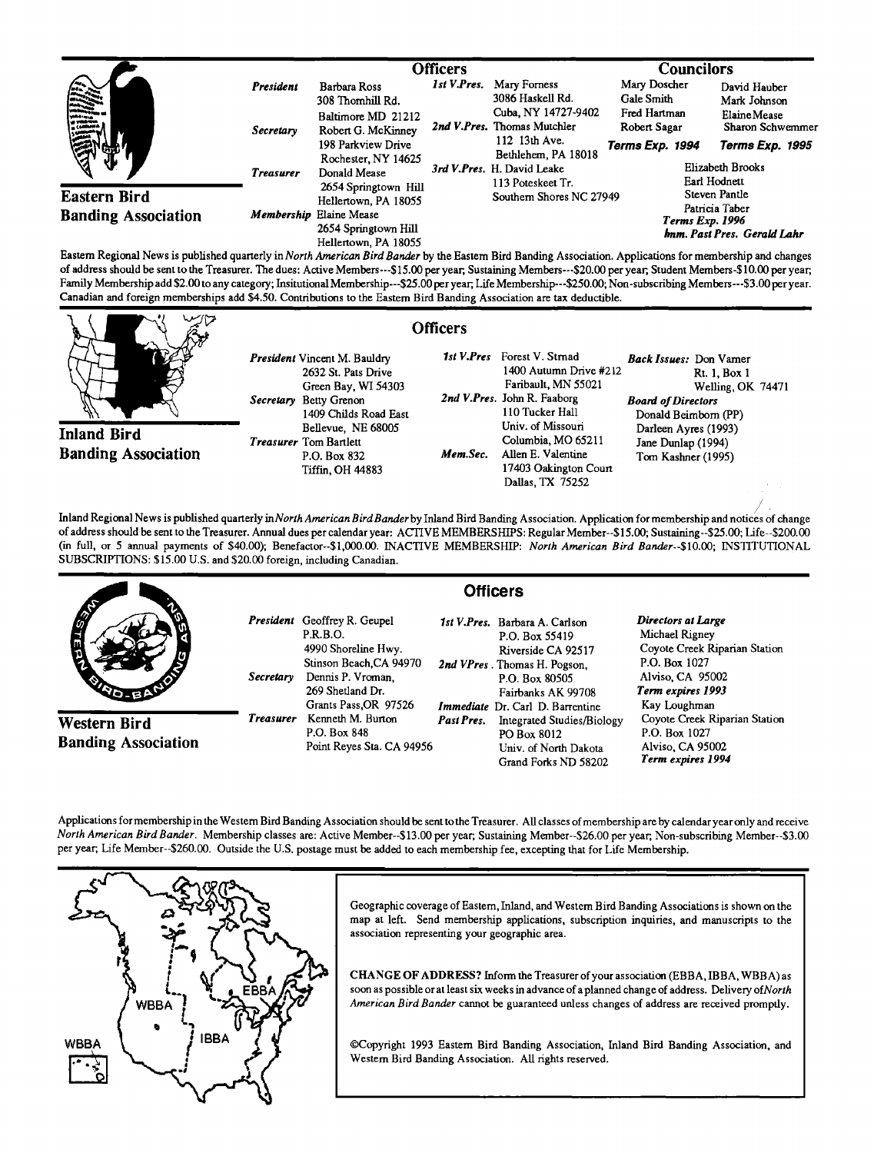|                                                                                                                                                                                                                                                                                                                                                                             |                  | <b>Officers</b>                                                         |             |                                                    | <b>Councilors</b>                                                |                                         |
|-----------------------------------------------------------------------------------------------------------------------------------------------------------------------------------------------------------------------------------------------------------------------------------------------------------------------------------------------------------------------------|------------------|-------------------------------------------------------------------------|-------------|----------------------------------------------------|------------------------------------------------------------------|-----------------------------------------|
| $\begin{picture}(20,10) \put(0,0){\vector(1,0){10}} \put(15,0){\vector(1,0){10}} \put(15,0){\vector(1,0){10}} \put(15,0){\vector(1,0){10}} \put(15,0){\vector(1,0){10}} \put(15,0){\vector(1,0){10}} \put(15,0){\vector(1,0){10}} \put(15,0){\vector(1,0){10}} \put(15,0){\vector(1,0){10}} \put(15,0){\vector(1,0){10}} \put(15,0){\vector(1,0){10}} \put(15,0){\vector(1$ | President        | <b>Barbara Ross</b><br>308 Thomhill Rd.                                 | 1st V.Pres. | Mary Forness<br>3086 Haskell Rd.                   | Mary Doscher<br>Gale Smith                                       | David Hauber<br>Mark Johnson            |
| I<br>ସ୍କ<br>₩                                                                                                                                                                                                                                                                                                                                                               | Secretary        | Baltimore MD 21212<br>Robert G. McKinney                                |             | Cuba, NY 14727-9402<br>2nd V.Pres. Thomas Mutchler | Fred Hartman<br>Robert Sagar                                     | <b>Elaine</b> Mease<br>Sharon Schwemmer |
|                                                                                                                                                                                                                                                                                                                                                                             |                  | 198 Parkview Drive<br>Rochester, NY 14625                               |             | 112 13th Ave.<br>Bethlehem, PA 18018               | Terms Exp. 1994                                                  | Terms Exp. 1995                         |
|                                                                                                                                                                                                                                                                                                                                                                             | <b>Treasurer</b> | Donald Mease                                                            |             | 3rd V.Pres. H. David Leake<br>113 Poteskeet Tr.    |                                                                  | Elizabeth Brooks<br>Earl Hodnett        |
| <b>Eastern Bird</b>                                                                                                                                                                                                                                                                                                                                                         |                  | 2654 Springtown Hill<br>Hellertown, PA 18055                            |             | Southern Shores NC 27949                           |                                                                  | Steven Pantle                           |
| <b>Banding Association</b>                                                                                                                                                                                                                                                                                                                                                  |                  | Membership Elaine Mease<br>2654 Springtown Hill<br>Hellertown, PA 18055 |             |                                                    | Patricia Taber<br>Terms Exp. 1996<br>hnm. Past Pres. Gerald Lahr |                                         |

**Eastern Regional News is pubhshed quarterly in North American Bird Bander by the Eastern Bird Banding Association. Applications for membership and changes**  of address should be sent to the Treasurer. The dues: Active Members---\$15.00 per year; Sustaining Members---\$20.00 per year; Student Members-\$10.00 per year; Family Membership add \$2.00 to any category; Insitutional Membership---\$25.00 per year, Life Membership---\$250.00; Non-subscribing Members---\$3.00 per year. **Canadian and foreign memberships add \$4.50. Contributions to the Eastern Bird Banding Association are tax deductible.** 

**Inland Bird Banding Association**  **President Vincent M. Bauldry 2632 St. Pats Drive Green Bay, WI 54303**  Secretary Betty Grenon **1409 Childs Road East Bellevue, NE 68005 Treasurer Tom Bartlett**  P.O. Box 832 **Mem.Sec. Tiffin, OH 44883** 

## **Officers**

1st V.Pres Forest V. Strnad **1400 Autumn Drive #212 Faribault, MN 55021**  2nd V.Pres. John R. Faaborg **110 Tucker Hall Univ. of Missouri Columbia, MO 65211 Allen E. Valentine 17403 Oakington Court Dallas, TX 75252** 

**Back Issues: Don Vamer Rt. 1, Box 1 Welling, OK 74471 Board of Directors**  Donald Beimborn (PP) Darleen Ayres (1993) **Jane Dunlap (1994) Tom Kashner (1995)** 

Inland Regional News is published quarterly in North American Bird Bander by Inland Bird Banding Association. Application for membership and notices of change of address should be sent to the Treasurer. Annual dues per calendar year: ACTIVE MEMBERSHIPS: Regular Member--\$15.00; Sustaining--\$25.00; Life--\$200.00 **(in full, or 5 annual payments of \$40.00); Benefactor--S1,000.00. INACTIVE MEMBERSHIP: North American Bird Bander--S10.00; INSTITUTIONAL SUBSCRIPTIONS: \$15.00 U.S. and \$20.00 foreign, including Canadian.** 

|                                            |                  | <b>Officers</b>                                                                                                                                                            |            |                                                                                                                                                                                           |                                                                                                                                                 |  |
|--------------------------------------------|------------------|----------------------------------------------------------------------------------------------------------------------------------------------------------------------------|------------|-------------------------------------------------------------------------------------------------------------------------------------------------------------------------------------------|-------------------------------------------------------------------------------------------------------------------------------------------------|--|
| <b>AND</b>                                 | <b>Secretary</b> | <b>President</b> Geoffrey R. Geupel<br><b>P.R.B.O.</b><br>4990 Shoreline Hwy.<br>Stinson Beach, CA 94970<br>Dennis P. Vroman.<br>269 Shetland Dr.<br>Grants Pass, OR 97526 |            | 1st V.Pres. Barbara A. Carlson<br>P.O. Box 55419<br>Riverside CA 92517<br>2nd VPres. Thomas H. Pogson.<br>P.O. Box 80505<br>Fairbanks AK 99708<br><b>Immediate</b> Dr. Carl D. Barrentine | Directors at Large<br>Michael Rigney<br>Coyote Creek Riparian Station<br>P.O. Box 1027<br>Alviso, CA 95002<br>Term expires 1993<br>Kay Loughman |  |
| Western Bird<br><b>Banding Association</b> | <b>Treasurer</b> | Kenneth M. Burton<br>P.O. Box 848<br>Point Reyes Sta. CA 94956                                                                                                             | Past Pres. | Integrated Studies/Biology<br>PO Box 8012<br>Univ. of North Dakota<br>Grand Forks ND 58202                                                                                                | Coyote Creek Riparian Station<br>P.O. Box 1027<br>Alviso, CA 95002<br>Term expires 1994                                                         |  |

**Applications formembership in the Western Bird Banding Association should be sent to the Treasurer. All classes of membership are by calendar year only and receive North American Bird Bander. Membership classes are: Active Member--\$13.00 per year, Sustaining Member--S26.00 per year, Non-subscribing Member--S3.00 per year, Life Member--S260.00. Outside the U.S. postage must be added to each membership fee, excepting that for Life Membership.** 



**association representing your geographic area.** 

CHANGE OF ADDRESS? Inform the Treasurer of your association (EBBA, IBBA, WBBA) as **p\_ EBBA** [...] soon as possible or at least six weeks in advance of a planned change of address. Delivery of North <br>WBBA [...] American Bird Bander cannot be guaranteed unless changes of address are received promptly.

**WBBA (IBBA (**©Copyright 1993 Eastem Bird Banding Association, Inland Bird Banding Association, and Western Bird Banding Association, All rights reserved.